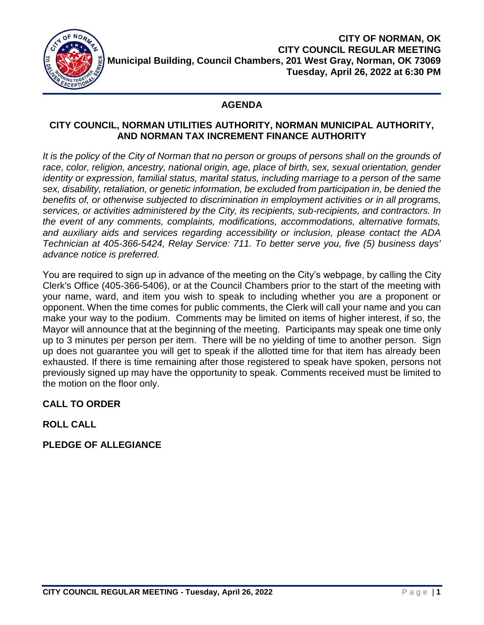

# **AGENDA**

#### **CITY COUNCIL, NORMAN UTILITIES AUTHORITY, NORMAN MUNICIPAL AUTHORITY, AND NORMAN TAX INCREMENT FINANCE AUTHORITY**

It is the policy of the City of Norman that no person or groups of persons shall on the grounds of race, color, religion, ancestry, national origin, age, place of birth, sex, sexual orientation, gender *identity or expression, familial status, marital status, including marriage to a person of the same sex, disability, retaliation, or genetic information, be excluded from participation in, be denied the benefits of, or otherwise subjected to discrimination in employment activities or in all programs, services, or activities administered by the City, its recipients, sub-recipients, and contractors. In the event of any comments, complaints, modifications, accommodations, alternative formats, and auxiliary aids and services regarding accessibility or inclusion, please contact the ADA Technician at 405-366-5424, Relay Service: 711. To better serve you, five (5) business days' advance notice is preferred.*

You are required to sign up in advance of the meeting on the City's webpage, by calling the City Clerk's Office (405-366-5406), or at the Council Chambers prior to the start of the meeting with your name, ward, and item you wish to speak to including whether you are a proponent or opponent. When the time comes for public comments, the Clerk will call your name and you can make your way to the podium. Comments may be limited on items of higher interest, if so, the Mayor will announce that at the beginning of the meeting. Participants may speak one time only up to 3 minutes per person per item. There will be no yielding of time to another person. Sign up does not guarantee you will get to speak if the allotted time for that item has already been exhausted. If there is time remaining after those registered to speak have spoken, persons not previously signed up may have the opportunity to speak. Comments received must be limited to the motion on the floor only.

# **CALL TO ORDER**

# **ROLL CALL**

**PLEDGE OF ALLEGIANCE**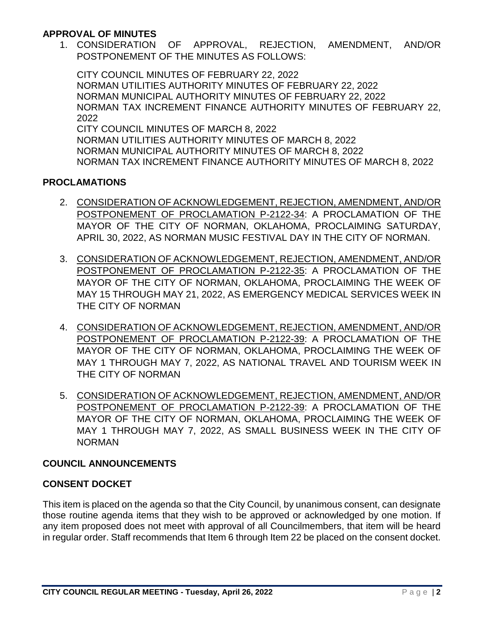#### **APPROVAL OF MINUTES**

1. CONSIDERATION OF APPROVAL, REJECTION, AMENDMENT, AND/OR POSTPONEMENT OF THE MINUTES AS FOLLOWS:

CITY COUNCIL MINUTES OF FEBRUARY 22, 2022 NORMAN UTILITIES AUTHORITY MINUTES OF FEBRUARY 22, 2022 NORMAN MUNICIPAL AUTHORITY MINUTES OF FEBRUARY 22, 2022 NORMAN TAX INCREMENT FINANCE AUTHORITY MINUTES OF FEBRUARY 22, 2022 CITY COUNCIL MINUTES OF MARCH 8, 2022 NORMAN UTILITIES AUTHORITY MINUTES OF MARCH 8, 2022 NORMAN MUNICIPAL AUTHORITY MINUTES OF MARCH 8, 2022 NORMAN TAX INCREMENT FINANCE AUTHORITY MINUTES OF MARCH 8, 2022

### **PROCLAMATIONS**

- 2. CONSIDERATION OF ACKNOWLEDGEMENT, REJECTION, AMENDMENT, AND/OR POSTPONEMENT OF PROCLAMATION P-2122-34: A PROCLAMATION OF THE MAYOR OF THE CITY OF NORMAN, OKLAHOMA, PROCLAIMING SATURDAY, APRIL 30, 2022, AS NORMAN MUSIC FESTIVAL DAY IN THE CITY OF NORMAN.
- 3. CONSIDERATION OF ACKNOWLEDGEMENT, REJECTION, AMENDMENT, AND/OR POSTPONEMENT OF PROCLAMATION P-2122-35: A PROCLAMATION OF THE MAYOR OF THE CITY OF NORMAN, OKLAHOMA, PROCLAIMING THE WEEK OF MAY 15 THROUGH MAY 21, 2022, AS EMERGENCY MEDICAL SERVICES WEEK IN THE CITY OF NORMAN
- 4. CONSIDERATION OF ACKNOWLEDGEMENT, REJECTION, AMENDMENT, AND/OR POSTPONEMENT OF PROCLAMATION P-2122-39: A PROCLAMATION OF THE MAYOR OF THE CITY OF NORMAN, OKLAHOMA, PROCLAIMING THE WEEK OF MAY 1 THROUGH MAY 7, 2022, AS NATIONAL TRAVEL AND TOURISM WEEK IN THE CITY OF NORMAN
- 5. CONSIDERATION OF ACKNOWLEDGEMENT, REJECTION, AMENDMENT, AND/OR POSTPONEMENT OF PROCLAMATION P-2122-39: A PROCLAMATION OF THE MAYOR OF THE CITY OF NORMAN, OKLAHOMA, PROCLAIMING THE WEEK OF MAY 1 THROUGH MAY 7, 2022, AS SMALL BUSINESS WEEK IN THE CITY OF NORMAN

#### **COUNCIL ANNOUNCEMENTS**

#### **CONSENT DOCKET**

This item is placed on the agenda so that the City Council, by unanimous consent, can designate those routine agenda items that they wish to be approved or acknowledged by one motion. If any item proposed does not meet with approval of all Councilmembers, that item will be heard in regular order. Staff recommends that Item 6 through Item 22 be placed on the consent docket.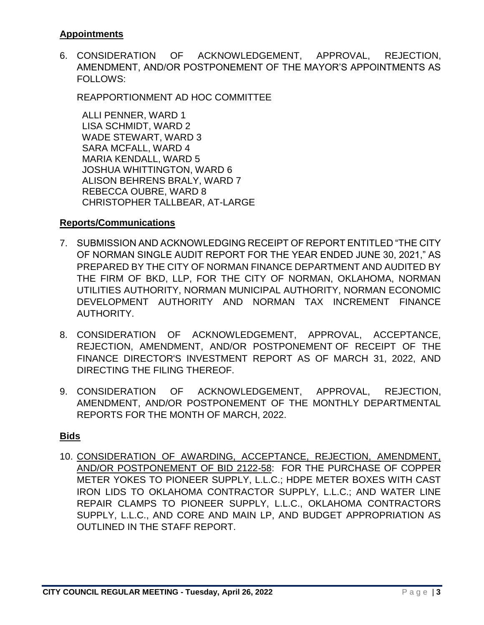### **Appointments**

6. CONSIDERATION OF ACKNOWLEDGEMENT, APPROVAL, REJECTION, AMENDMENT, AND/OR POSTPONEMENT OF THE MAYOR'S APPOINTMENTS AS FOLLOWS:

REAPPORTIONMENT AD HOC COMMITTEE

 ALLI PENNER, WARD 1 LISA SCHMIDT, WARD 2 WADE STEWART, WARD 3 SARA MCFALL, WARD 4 MARIA KENDALL, WARD 5 JOSHUA WHITTINGTON, WARD 6 ALISON BEHRENS BRALY, WARD 7 REBECCA OUBRE, WARD 8 CHRISTOPHER TALLBEAR, AT-LARGE

#### **Reports/Communications**

- 7. SUBMISSION AND ACKNOWLEDGING RECEIPT OF REPORT ENTITLED "THE CITY OF NORMAN SINGLE AUDIT REPORT FOR THE YEAR ENDED JUNE 30, 2021," AS PREPARED BY THE CITY OF NORMAN FINANCE DEPARTMENT AND AUDITED BY THE FIRM OF BKD, LLP, FOR THE CITY OF NORMAN, OKLAHOMA, NORMAN UTILITIES AUTHORITY, NORMAN MUNICIPAL AUTHORITY, NORMAN ECONOMIC DEVELOPMENT AUTHORITY AND NORMAN TAX INCREMENT FINANCE AUTHORITY.
- 8. CONSIDERATION OF ACKNOWLEDGEMENT, APPROVAL, ACCEPTANCE, REJECTION, AMENDMENT, AND/OR POSTPONEMENT OF RECEIPT OF THE FINANCE DIRECTOR'S INVESTMENT REPORT AS OF MARCH 31, 2022, AND DIRECTING THE FILING THEREOF.
- 9. CONSIDERATION OF ACKNOWLEDGEMENT, APPROVAL, REJECTION, AMENDMENT, AND/OR POSTPONEMENT OF THE MONTHLY DEPARTMENTAL REPORTS FOR THE MONTH OF MARCH, 2022.

## **Bids**

10. CONSIDERATION OF AWARDING, ACCEPTANCE, REJECTION, AMENDMENT, AND/OR POSTPONEMENT OF BID 2122-58: FOR THE PURCHASE OF COPPER METER YOKES TO PIONEER SUPPLY, L.L.C.; HDPE METER BOXES WITH CAST IRON LIDS TO OKLAHOMA CONTRACTOR SUPPLY, L.L.C.; AND WATER LINE REPAIR CLAMPS TO PIONEER SUPPLY, L.L.C., OKLAHOMA CONTRACTORS SUPPLY, L.L.C., AND CORE AND MAIN LP, AND BUDGET APPROPRIATION AS OUTLINED IN THE STAFF REPORT.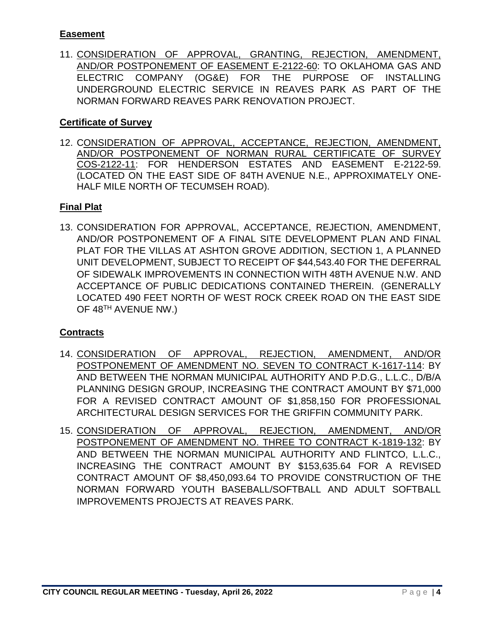# **Easement**

11. CONSIDERATION OF APPROVAL, GRANTING, REJECTION, AMENDMENT, AND/OR POSTPONEMENT OF EASEMENT E-2122-60: TO OKLAHOMA GAS AND ELECTRIC COMPANY (OG&E) FOR THE PURPOSE OF INSTALLING UNDERGROUND ELECTRIC SERVICE IN REAVES PARK AS PART OF THE NORMAN FORWARD REAVES PARK RENOVATION PROJECT.

# **Certificate of Survey**

12. CONSIDERATION OF APPROVAL, ACCEPTANCE, REJECTION, AMENDMENT, AND/OR POSTPONEMENT OF NORMAN RURAL CERTIFICATE OF SURVEY COS-2122-11: FOR HENDERSON ESTATES AND EASEMENT E-2122-59. (LOCATED ON THE EAST SIDE OF 84TH AVENUE N.E., APPROXIMATELY ONE-HALF MILE NORTH OF TECUMSEH ROAD).

# **Final Plat**

13. CONSIDERATION FOR APPROVAL, ACCEPTANCE, REJECTION, AMENDMENT, AND/OR POSTPONEMENT OF A FINAL SITE DEVELOPMENT PLAN AND FINAL PLAT FOR THE VILLAS AT ASHTON GROVE ADDITION, SECTION 1, A PLANNED UNIT DEVELOPMENT, SUBJECT TO RECEIPT OF \$44,543.40 FOR THE DEFERRAL OF SIDEWALK IMPROVEMENTS IN CONNECTION WITH 48TH AVENUE N.W. AND ACCEPTANCE OF PUBLIC DEDICATIONS CONTAINED THEREIN. (GENERALLY LOCATED 490 FEET NORTH OF WEST ROCK CREEK ROAD ON THE EAST SIDE OF 48TH AVENUE NW.)

## **Contracts**

- 14. CONSIDERATION OF APPROVAL, REJECTION, AMENDMENT, AND/OR POSTPONEMENT OF AMENDMENT NO. SEVEN TO CONTRACT K-1617-114: BY AND BETWEEN THE NORMAN MUNICIPAL AUTHORITY AND P.D.G., L.L.C., D/B/A PLANNING DESIGN GROUP, INCREASING THE CONTRACT AMOUNT BY \$71,000 FOR A REVISED CONTRACT AMOUNT OF \$1,858,150 FOR PROFESSIONAL ARCHITECTURAL DESIGN SERVICES FOR THE GRIFFIN COMMUNITY PARK.
- 15. CONSIDERATION OF APPROVAL, REJECTION, AMENDMENT, AND/OR POSTPONEMENT OF AMENDMENT NO. THREE TO CONTRACT K-1819-132: BY AND BETWEEN THE NORMAN MUNICIPAL AUTHORITY AND FLINTCO, L.L.C., INCREASING THE CONTRACT AMOUNT BY \$153,635.64 FOR A REVISED CONTRACT AMOUNT OF \$8,450,093.64 TO PROVIDE CONSTRUCTION OF THE NORMAN FORWARD YOUTH BASEBALL/SOFTBALL AND ADULT SOFTBALL IMPROVEMENTS PROJECTS AT REAVES PARK.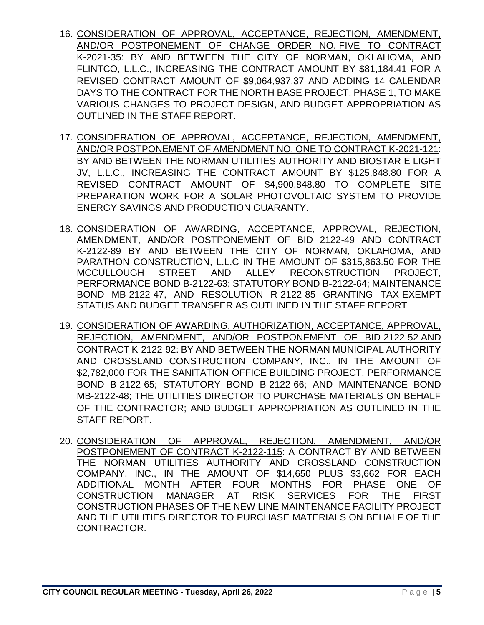- 16. CONSIDERATION OF APPROVAL, ACCEPTANCE, REJECTION, AMENDMENT, AND/OR POSTPONEMENT OF CHANGE ORDER NO. FIVE TO CONTRACT K-2021-35: BY AND BETWEEN THE CITY OF NORMAN, OKLAHOMA, AND FLINTCO, L.L.C., INCREASING THE CONTRACT AMOUNT BY \$81,184.41 FOR A REVISED CONTRACT AMOUNT OF \$9,064,937.37 AND ADDING 14 CALENDAR DAYS TO THE CONTRACT FOR THE NORTH BASE PROJECT, PHASE 1, TO MAKE VARIOUS CHANGES TO PROJECT DESIGN, AND BUDGET APPROPRIATION AS OUTLINED IN THE STAFF REPORT.
- 17. CONSIDERATION OF APPROVAL, ACCEPTANCE, REJECTION, AMENDMENT, AND/OR POSTPONEMENT OF AMENDMENT NO. ONE TO CONTRACT K-2021-121: BY AND BETWEEN THE NORMAN UTILITIES AUTHORITY AND BIOSTAR E LIGHT JV, L.L.C., INCREASING THE CONTRACT AMOUNT BY \$125,848.80 FOR A REVISED CONTRACT AMOUNT OF \$4,900,848.80 TO COMPLETE SITE PREPARATION WORK FOR A SOLAR PHOTOVOLTAIC SYSTEM TO PROVIDE ENERGY SAVINGS AND PRODUCTION GUARANTY.
- 18. CONSIDERATION OF AWARDING, ACCEPTANCE, APPROVAL, REJECTION, AMENDMENT, AND/OR POSTPONEMENT OF BID 2122-49 AND CONTRACT K-2122-89 BY AND BETWEEN THE CITY OF NORMAN, OKLAHOMA, AND PARATHON CONSTRUCTION, L.L.C IN THE AMOUNT OF \$315,863.50 FOR THE MCCULLOUGH STREET AND ALLEY RECONSTRUCTION PROJECT, PERFORMANCE BOND B-2122-63; STATUTORY BOND B-2122-64; MAINTENANCE BOND MB-2122-47, AND RESOLUTION R-2122-85 GRANTING TAX-EXEMPT STATUS AND BUDGET TRANSFER AS OUTLINED IN THE STAFF REPORT
- 19. CONSIDERATION OF AWARDING, AUTHORIZATION, ACCEPTANCE, APPROVAL, REJECTION, AMENDMENT, AND/OR POSTPONEMENT OF BID 2122-52 AND CONTRACT K-2122-92: BY AND BETWEEN THE NORMAN MUNICIPAL AUTHORITY AND CROSSLAND CONSTRUCTION COMPANY, INC., IN THE AMOUNT OF \$2,782,000 FOR THE SANITATION OFFICE BUILDING PROJECT, PERFORMANCE BOND B-2122-65; STATUTORY BOND B-2122-66; AND MAINTENANCE BOND MB-2122-48; THE UTILITIES DIRECTOR TO PURCHASE MATERIALS ON BEHALF OF THE CONTRACTOR; AND BUDGET APPROPRIATION AS OUTLINED IN THE STAFF REPORT.
- 20. CONSIDERATION OF APPROVAL, REJECTION, AMENDMENT, AND/OR POSTPONEMENT OF CONTRACT K-2122-115: A CONTRACT BY AND BETWEEN THE NORMAN UTILITIES AUTHORITY AND CROSSLAND CONSTRUCTION COMPANY, INC., IN THE AMOUNT OF \$14,650 PLUS \$3,662 FOR EACH ADDITIONAL MONTH AFTER FOUR MONTHS FOR PHASE ONE OF CONSTRUCTION MANAGER AT RISK SERVICES FOR THE FIRST CONSTRUCTION PHASES OF THE NEW LINE MAINTENANCE FACILITY PROJECT AND THE UTILITIES DIRECTOR TO PURCHASE MATERIALS ON BEHALF OF THE CONTRACTOR.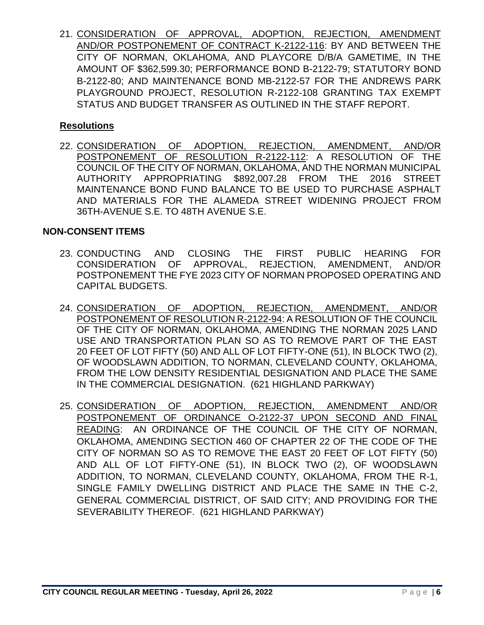21. CONSIDERATION OF APPROVAL, ADOPTION, REJECTION, AMENDMENT AND/OR POSTPONEMENT OF CONTRACT K-2122-116: BY AND BETWEEN THE CITY OF NORMAN, OKLAHOMA, AND PLAYCORE D/B/A GAMETIME, IN THE AMOUNT OF \$362,599.30; PERFORMANCE BOND B-2122-79; STATUTORY BOND B-2122-80; AND MAINTENANCE BOND MB-2122-57 FOR THE ANDREWS PARK PLAYGROUND PROJECT, RESOLUTION R-2122-108 GRANTING TAX EXEMPT STATUS AND BUDGET TRANSFER AS OUTLINED IN THE STAFF REPORT.

### **Resolutions**

22. CONSIDERATION OF ADOPTION, REJECTION, AMENDMENT, AND/OR POSTPONEMENT OF RESOLUTION R-2122-112: A RESOLUTION OF THE COUNCIL OF THE CITY OF NORMAN, OKLAHOMA, AND THE NORMAN MUNICIPAL AUTHORITY APPROPRIATING \$892,007.28 FROM THE 2016 STREET MAINTENANCE BOND FUND BALANCE TO BE USED TO PURCHASE ASPHALT AND MATERIALS FOR THE ALAMEDA STREET WIDENING PROJECT FROM 36TH-AVENUE S.E. TO 48TH AVENUE S.E.

### **NON-CONSENT ITEMS**

- 23. CONDUCTING AND CLOSING THE FIRST PUBLIC HEARING FOR CONSIDERATION OF APPROVAL, REJECTION, AMENDMENT, AND/OR POSTPONEMENT THE FYE 2023 CITY OF NORMAN PROPOSED OPERATING AND CAPITAL BUDGETS.
- 24. CONSIDERATION OF ADOPTION, REJECTION, AMENDMENT, AND/OR POSTPONEMENT OF RESOLUTION R-2122-94: A RESOLUTION OF THE COUNCIL OF THE CITY OF NORMAN, OKLAHOMA, AMENDING THE NORMAN 2025 LAND USE AND TRANSPORTATION PLAN SO AS TO REMOVE PART OF THE EAST 20 FEET OF LOT FIFTY (50) AND ALL OF LOT FIFTY-ONE (51), IN BLOCK TWO (2), OF WOODSLAWN ADDITION, TO NORMAN, CLEVELAND COUNTY, OKLAHOMA, FROM THE LOW DENSITY RESIDENTIAL DESIGNATION AND PLACE THE SAME IN THE COMMERCIAL DESIGNATION. (621 HIGHLAND PARKWAY)
- 25. CONSIDERATION OF ADOPTION, REJECTION, AMENDMENT AND/OR POSTPONEMENT OF ORDINANCE O-2122-37 UPON SECOND AND FINAL READING: AN ORDINANCE OF THE COUNCIL OF THE CITY OF NORMAN, OKLAHOMA, AMENDING SECTION 460 OF CHAPTER 22 OF THE CODE OF THE CITY OF NORMAN SO AS TO REMOVE THE EAST 20 FEET OF LOT FIFTY (50) AND ALL OF LOT FIFTY-ONE (51), IN BLOCK TWO (2), OF WOODSLAWN ADDITION, TO NORMAN, CLEVELAND COUNTY, OKLAHOMA, FROM THE R-1, SINGLE FAMILY DWELLING DISTRICT AND PLACE THE SAME IN THE C-2, GENERAL COMMERCIAL DISTRICT, OF SAID CITY; AND PROVIDING FOR THE SEVERABILITY THEREOF. (621 HIGHLAND PARKWAY)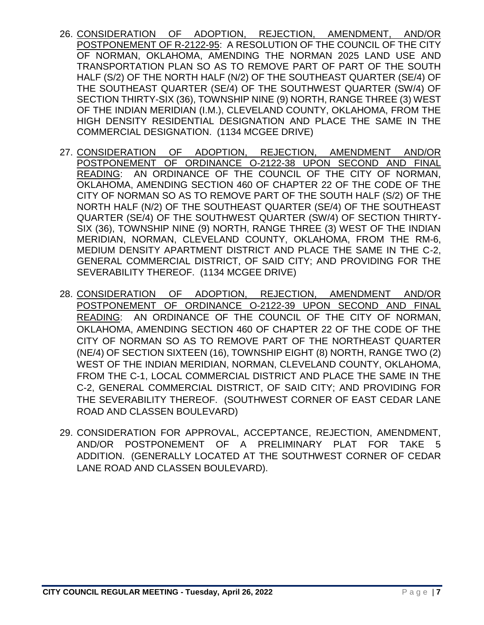- 26. CONSIDERATION OF ADOPTION, REJECTION, AMENDMENT, AND/OR POSTPONEMENT OF R-2122-95: A RESOLUTION OF THE COUNCIL OF THE CITY OF NORMAN, OKLAHOMA, AMENDING THE NORMAN 2025 LAND USE AND TRANSPORTATION PLAN SO AS TO REMOVE PART OF PART OF THE SOUTH HALF (S/2) OF THE NORTH HALF (N/2) OF THE SOUTHEAST QUARTER (SE/4) OF THE SOUTHEAST QUARTER (SE/4) OF THE SOUTHWEST QUARTER (SW/4) OF SECTION THIRTY-SIX (36), TOWNSHIP NINE (9) NORTH, RANGE THREE (3) WEST OF THE INDIAN MERIDIAN (I.M.), CLEVELAND COUNTY, OKLAHOMA, FROM THE HIGH DENSITY RESIDENTIAL DESIGNATION AND PLACE THE SAME IN THE COMMERCIAL DESIGNATION. (1134 MCGEE DRIVE)
- 27. CONSIDERATION OF ADOPTION, REJECTION, AMENDMENT AND/OR POSTPONEMENT OF ORDINANCE O-2122-38 UPON SECOND AND FINAL READING: AN ORDINANCE OF THE COUNCIL OF THE CITY OF NORMAN, OKLAHOMA, AMENDING SECTION 460 OF CHAPTER 22 OF THE CODE OF THE CITY OF NORMAN SO AS TO REMOVE PART OF THE SOUTH HALF (S/2) OF THE NORTH HALF (N/2) OF THE SOUTHEAST QUARTER (SE/4) OF THE SOUTHEAST QUARTER (SE/4) OF THE SOUTHWEST QUARTER (SW/4) OF SECTION THIRTY-SIX (36), TOWNSHIP NINE (9) NORTH, RANGE THREE (3) WEST OF THE INDIAN MERIDIAN, NORMAN, CLEVELAND COUNTY, OKLAHOMA, FROM THE RM-6, MEDIUM DENSITY APARTMENT DISTRICT AND PLACE THE SAME IN THE C-2, GENERAL COMMERCIAL DISTRICT, OF SAID CITY; AND PROVIDING FOR THE SEVERABILITY THEREOF. (1134 MCGEE DRIVE)
- 28. CONSIDERATION OF ADOPTION, REJECTION, AMENDMENT AND/OR POSTPONEMENT OF ORDINANCE O-2122-39 UPON SECOND AND FINAL READING: AN ORDINANCE OF THE COUNCIL OF THE CITY OF NORMAN, OKLAHOMA, AMENDING SECTION 460 OF CHAPTER 22 OF THE CODE OF THE CITY OF NORMAN SO AS TO REMOVE PART OF THE NORTHEAST QUARTER (NE/4) OF SECTION SIXTEEN (16), TOWNSHIP EIGHT (8) NORTH, RANGE TWO (2) WEST OF THE INDIAN MERIDIAN, NORMAN, CLEVELAND COUNTY, OKLAHOMA, FROM THE C-1, LOCAL COMMERCIAL DISTRICT AND PLACE THE SAME IN THE C-2, GENERAL COMMERCIAL DISTRICT, OF SAID CITY; AND PROVIDING FOR THE SEVERABILITY THEREOF. (SOUTHWEST CORNER OF EAST CEDAR LANE ROAD AND CLASSEN BOULEVARD)
- 29. CONSIDERATION FOR APPROVAL, ACCEPTANCE, REJECTION, AMENDMENT, AND/OR POSTPONEMENT OF A PRELIMINARY PLAT FOR TAKE 5 ADDITION. (GENERALLY LOCATED AT THE SOUTHWEST CORNER OF CEDAR LANE ROAD AND CLASSEN BOULEVARD).